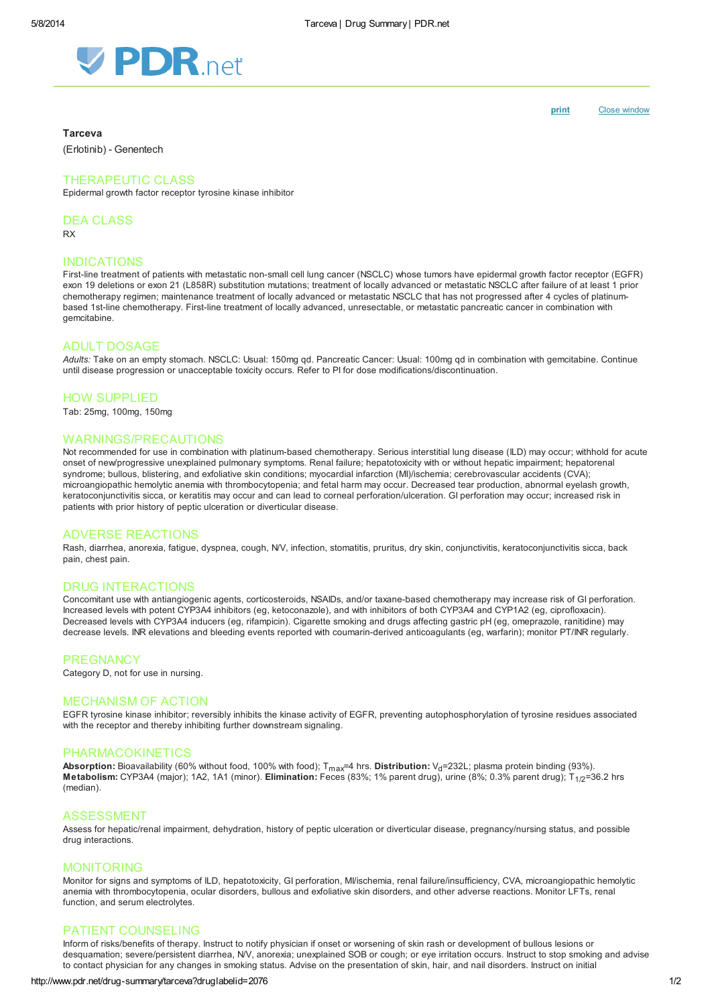

[print](http://www.pdr.net/Custom/UI/UserControls/#) Close window

#### **Tarceva**

(Erlotinib) - Genentech

## THERAPEUTIC CLASS

Epidermal growth factor receptor tyrosine kinase inhibitor

DEA CLASS

RX

## INDICATIONS

First-line treatment of patients with metastatic non-small cell lung cancer (NSCLC) whose tumors have epidermal growth factor receptor (EGFR) exon 19 deletions or exon 21 (L858R) substitution mutations; treatment of locally advanced or metastatic NSCLC after failure of at least 1 prior chemotherapy regimen; maintenance treatment of locally advanced or metastatic NSCLC that has not progressed after 4 cycles of platinumbased 1st-line chemotherapy. First-line treatment of locally advanced, unresectable, or metastatic pancreatic cancer in combination with gemcitabine.

#### ADULT DOSAGE

Adults: Take on an empty stomach. NSCLC: Usual: 150mg qd. Pancreatic Cancer: Usual: 100mg qd in combination with gemcitabine. Continue until disease progression or unacceptable toxicity occurs. Refer to PI for dose modifications/discontinuation.

#### HOW SUPPLIED

Tab: 25mg, 100mg, 150mg

#### WARNINGS/PRECAUTIONS

Not recommended for use in combination with platinum-based chemotherapy. Serious interstitial lung disease (ILD) may occur; withhold for acute onset of new/progressive unexplained pulmonary symptoms. Renal failure; hepatotoxicity with or without hepatic impairment; hepatorenal syndrome; bullous, blistering, and exfoliative skin conditions; myocardial infarction (MI)/ischemia; cerebrovascular accidents (CVA); microangiopathic hemolytic anemia with thrombocytopenia; and fetal harm may occur. Decreased tear production, abnormal eyelash growth, keratoconjunctivitis sicca, or keratitis may occur and can lead to corneal perforation/ulceration. GI perforation may occur; increased risk in patients with prior history of peptic ulceration or diverticular disease.

#### ADVERSE REACTIONS

Rash, diarrhea, anorexia, fatigue, dyspnea, cough, N/V, infection, stomatitis, pruritus, dry skin, conjunctivitis, keratoconjunctivitis sicca, back pain, chest pain.

# DRUG INTERACTIONS

Concomitant use with antiangiogenic agents, corticosteroids, NSAIDs, and/or taxane-based chemotherapy may increase risk of GI perforation. Increased levels with potent CYP3A4 inhibitors (eg, ketoconazole), and with inhibitors of both CYP3A4 and CYP1A2 (eg, ciprofloxacin). Decreased levels with CYP3A4 inducers (eg, rifampicin). Cigarette smoking and drugs affecting gastric pH (eg, omeprazole, ranitidine) may decrease levels. INR elevations and bleeding events reported with coumarin-derived anticoagulants (eg, warfarin); monitor PT/INR regularly.

#### **PREGNANCY**

Category D, not for use in nursing.

#### MECHANISM OF ACTION

EGFR tyrosine kinase inhibitor; reversibly inhibits the kinase activity of EGFR, preventing autophosphorylation of tyrosine residues associated with the receptor and thereby inhibiting further downstream signaling.

### PHARMACOKINETICS

Absorption: Bioavailability (60% without food, 100% with food);  $T_{max}=4$  hrs. Distribution:  $V_d=232L$ ; plasma protein binding (93%). Metabolism: CYP3A4 (major); 1A2, 1A1 (minor). Elimination: Feces (83%; 1% parent drug), urine (8%; 0.3% parent drug); T<sub>1/2</sub>=36.2 hrs (median).

### ASSESSMENT

Assess for hepatic/renal impairment, dehydration, history of peptic ulceration or diverticular disease, pregnancy/nursing status, and possible drug interactions.

#### MONITORING

Monitor for signs and symptoms of ILD, hepatotoxicity, GI perforation, MI/ischemia, renal failure/insufficiency, CVA, microangiopathic hemolytic anemia with thrombocytopenia, ocular disorders, bullous and exfoliative skin disorders, and other adverse reactions. Monitor LFTs, renal function, and serum electrolytes.

#### PATIENT COUNSELING

Inform of risks/benefits of therapy. Instruct to notify physician if onset or worsening of skin rash or development of bullous lesions or desquamation; severe/persistent diarrhea, NV, anorexia; unexplained SOB or cough; or eye irritation occurs. Instruct to stop smoking and advise to contact physician for any changes in smoking status. Advise on the presentation of skin, hair, and nail disorders. Instruct on initial